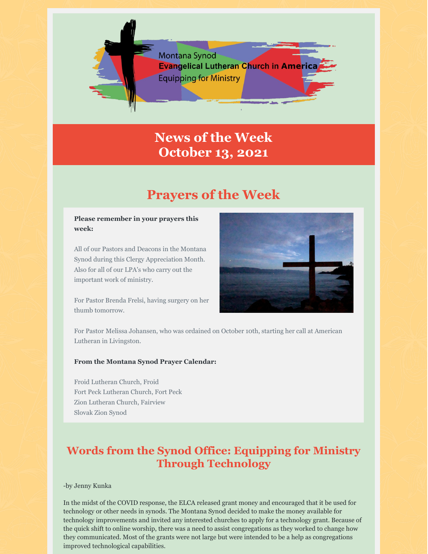

# **News of the Week October 13, 2021**

# **Prayers of the Week**

#### **Please remember in your prayers this week:**

All of our Pastors and Deacons in the Montana Synod during this Clergy Appreciation Month. Also for all of our LPA's who carry out the important work of ministry.

For Pastor Brenda Frelsi, having surgery on her thumb tomorrow.



For Pastor Melissa Johansen, who was ordained on October 10th, starting her call at American Lutheran in Livingston.

#### **From the Montana Synod Prayer Calendar:**

Froid Lutheran Church, Froid Fort Peck Lutheran Church, Fort Peck Zion Lutheran Church, Fairview Slovak Zion Synod

## **Words from the Synod Office: Equipping for Ministry Through Technology**

-by Jenny Kunka

In the midst of the COVID response, the ELCA released grant money and encouraged that it be used for technology or other needs in synods. The Montana Synod decided to make the money available for technology improvements and invited any interested churches to apply for a technology grant. Because of the quick shift to online worship, there was a need to assist congregations as they worked to change how they communicated. Most of the grants were not large but were intended to be a help as congregations improved technological capabilities.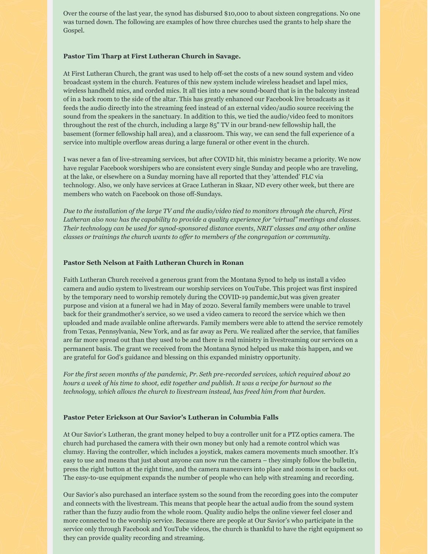Over the course of the last year, the synod has disbursed \$10,000 to about sixteen congregations. No one was turned down. The following are examples of how three churches used the grants to help share the Gospel.

#### **Pastor Tim Tharp at First Lutheran Church in Savage.**

At First Lutheran Church, the grant was used to help off-set the costs of a new sound system and video broadcast system in the church. Features of this new system include wireless headset and lapel mics, wireless handheld mics, and corded mics. It all ties into a new sound-board that is in the balcony instead of in a back room to the side of the altar. This has greatly enhanced our Facebook live broadcasts as it feeds the audio directly into the streaming feed instead of an external video/audio source receiving the sound from the speakers in the sanctuary. In addition to this, we tied the audio/video feed to monitors throughout the rest of the church, including a large 85" TV in our brand-new fellowship hall, the basement (former fellowship hall area), and a classroom. This way, we can send the full experience of a service into multiple overflow areas during a large funeral or other event in the church.

I was never a fan of live-streaming services, but after COVID hit, this ministry became a priority. We now have regular Facebook worshipers who are consistent every single Sunday and people who are traveling, at the lake, or elsewhere on a Sunday morning have all reported that they 'attended' FLC via technology. Also, we only have services at Grace Lutheran in Skaar, ND every other week, but there are members who watch on Facebook on those off-Sundays.

Due to the installation of the large TV and the audio/video tied to monitors through the church, First *Lutheran also now has the capability to provide a quality experience for "virtual" meetings and classes. Their technology can be used for synod-sponsored distance events, NRIT classes and any other online classes or trainings the church wants to of er to members of the congregation or community.*

#### **Pastor Seth Nelson at Faith Lutheran Church in Ronan**

Faith Lutheran Church received a generous grant from the Montana Synod to help us install a video camera and audio system to livestream our worship services on YouTube. This project was first inspired by the temporary need to worship remotely during the COVID-19 pandemic,but was given greater purpose and vision at a funeral we had in May of 2020. Several family members were unable to travel back for their grandmother's service, so we used a video camera to record the service which we then uploaded and made available online afterwards. Family members were able to attend the service remotely from Texas, Pennsylvania, New York, and as far away as Peru. We realized after the service, that families are far more spread out than they used to be and there is real ministry in livestreaming our services on a permanent basis. The grant we received from the Montana Synod helped us make this happen, and we are grateful for God's guidance and blessing on this expanded ministry opportunity.

*For the first seven months of the pandemic, Pr. Seth pre-recorded services, which required about 20* hours a week of his time to shoot, edit together and publish. It was a recipe for burnout so the *technology, which allows the church to livestream instead, has freed him from that burden.*

#### **Pastor Peter Erickson at Our Savior's Lutheran in Columbia Falls**

At Our Savior's Lutheran, the grant money helped to buy a controller unit for a PTZ optics camera. The church had purchased the camera with their own money but only had a remote control which was clumsy. Having the controller, which includes a joystick, makes camera movements much smoother. It's easy to use and means that just about anyone can now run the camera – they simply follow the bulletin, press the right button at the right time, and the camera maneuvers into place and zooms in or backs out. The easy-to-use equipment expands the number of people who can help with streaming and recording.

Our Savior's also purchased an interface system so the sound from the recording goes into the computer and connects with the livestream. This means that people hear the actual audio from the sound system rather than the fuzzy audio from the whole room. Quality audio helps the online viewer feel closer and more connected to the worship service. Because there are people at Our Savior's who participate in the service only through Facebook and YouTube videos, the church is thankful to have the right equipment so they can provide quality recording and streaming.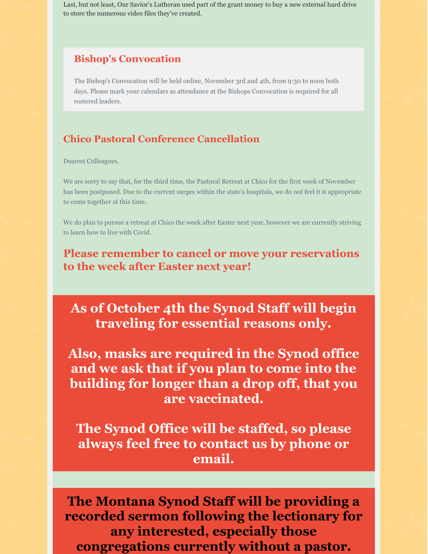Last, but not least, Our Savior's Lutheran used part of the grant money to buy a new external hard drive to store the numerous video files they've created.

## **Bishop's Convocation**

The Bishop's Convocation will be held online, November 3rd and 4th, from 9:30 to noon both days. Please mark your calendars as attendance at the Bishops Convocation is required for all rostered leaders.

### **Chico Pastoral Conference Cancellation**

Dearest Colleagues,

We are sorry to say that, for the third time, the Pastoral Retreat at Chico for the first week of November has been postponed. Due to the current surges within the state's hospitals, we do not feel it is appropriate to come together at this time.

We do plan to pursue a retreat at Chico the week after Easter next year, however we are currently striving to learn how to live with Covid.

**Please remember to cancel or move your reservations to the week after Easter next year!**

**As of October 4th the Synod Staff will begin traveling for essential reasons only.**

**Also, masks are required in the Synod office and we ask that if you plan to come into the building for longer than a drop off, that you are vaccinated.**

**The Synod Office will be staffed, so please always feel free to contact us by phone or email.**

**The Montana Synod Staff will be providing a recorded sermon following the lectionary for any interested, especially those congregations currently without a pastor.**